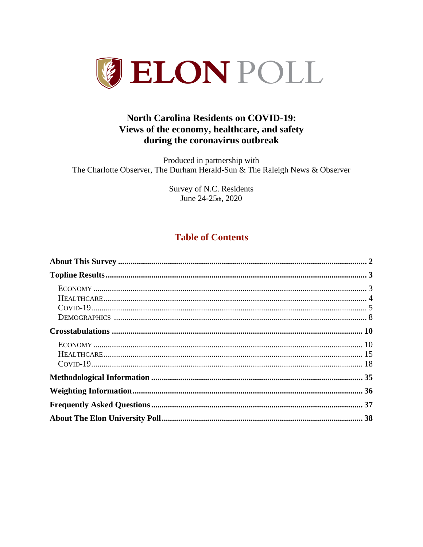

# **North Carolina Residents on COVID-19:** Views of the economy, healthcare, and safety during the coronavirus outbreak

Produced in partnership with The Charlotte Observer, The Durham Herald-Sun & The Raleigh News & Observer

> Survey of N.C. Residents June 24-25th, 2020

# **Table of Contents**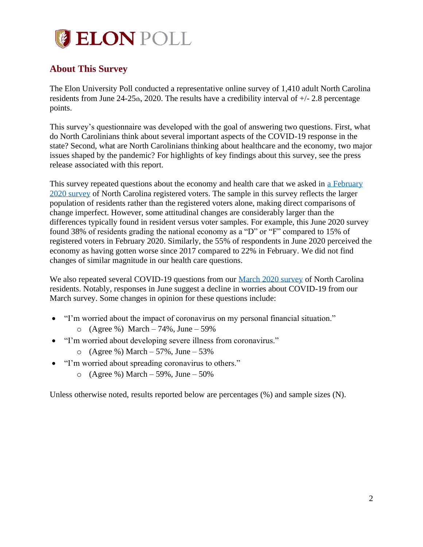# **BELON POLL**

# <span id="page-1-0"></span>**About This Survey**

The Elon University Poll conducted a representative online survey of 1,410 adult North Carolina residents from June  $24-25$ th,  $2020$ . The results have a credibility interval of  $+/- 2.8$  percentage points.

This survey's questionnaire was developed with the goal of answering two questions. First, what do North Carolinians think about several important aspects of the COVID-19 response in the state? Second, what are North Carolinians thinking about healthcare and the economy, two major issues shaped by the pandemic? For highlights of key findings about this survey, see the press release associated with this report.

This survey repeated questions about the economy and health care that we asked in a February [2020 survey](https://www.elon.edu/u/elon-poll/wp-content/uploads/sites/819/2020/02/2020_2_26-ElonPoll_Report_final.pdf) of North Carolina registered voters. The sample in this survey reflects the larger population of residents rather than the registered voters alone, making direct comparisons of change imperfect. However, some attitudinal changes are considerably larger than the differences typically found in resident versus voter samples. For example, this June 2020 survey found 38% of residents grading the national economy as a "D" or "F" compared to 15% of registered voters in February 2020. Similarly, the 55% of respondents in June 2020 perceived the economy as having gotten worse since 2017 compared to 22% in February. We did not find changes of similar magnitude in our health care questions.

We also repeated several COVID-19 questions from our [March 2020 survey](https://www.elon.edu/u/elon-poll/wp-content/uploads/sites/819/2020/03/2020_3_18-ElonPoll_Report_final.pdf) of North Carolina residents. Notably, responses in June suggest a decline in worries about COVID-19 from our March survey. Some changes in opinion for these questions include:

- "I'm worried about the impact of coronavirus on my personal financial situation."
	- $O (Agree %) March -74%, June -59%$
- "I'm worried about developing severe illness from coronavirus."
	- $O (Agree %) March 57%, June 53%$
- "I'm worried about spreading coronavirus to others."
	- $\circ$  (Agree %) March 59%, June 50%

Unless otherwise noted, results reported below are percentages (%) and sample sizes (N).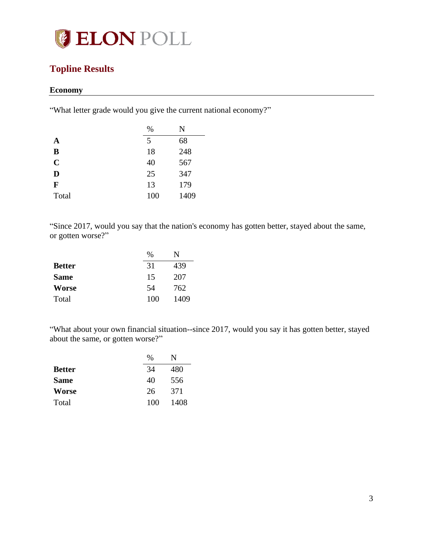

# <span id="page-2-0"></span>**Topline Results**

## <span id="page-2-1"></span>**Economy**

"What letter grade would you give the current national economy?"

|             | %   | N    |
|-------------|-----|------|
| A           | 5   | 68   |
| B           | 18  | 248  |
| $\mathbf C$ | 40  | 567  |
| D           | 25  | 347  |
| F           | 13  | 179  |
| Total       | 100 | 1409 |

"Since 2017, would you say that the nation's economy has gotten better, stayed about the same, or gotten worse?"

|               | $\%$ | N    |
|---------------|------|------|
| <b>Better</b> | 31   | 439  |
| <b>Same</b>   | 15   | 207  |
| <b>Worse</b>  | 54   | 762  |
| Total         | 100  | 1409 |

"What about your own financial situation--since 2017, would you say it has gotten better, stayed about the same, or gotten worse?"

|               | $\frac{0}{0}$ | N    |
|---------------|---------------|------|
| <b>Better</b> | 34            | 480  |
| <b>Same</b>   | 40            | 556  |
| <b>Worse</b>  | 26            | 371  |
| Total         | 100           | 1408 |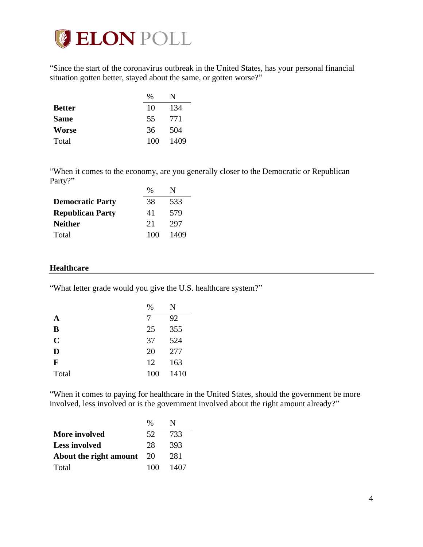

"Since the start of the coronavirus outbreak in the United States, has your personal financial situation gotten better, stayed about the same, or gotten worse?"

|               | %   | N    |
|---------------|-----|------|
| <b>Better</b> | 10  | 134  |
| <b>Same</b>   | 55  | 771  |
| <b>Worse</b>  | 36  | 504  |
| Total         | 100 | 1409 |

"When it comes to the economy, are you generally closer to the Democratic or Republican Party?"

|                         | $\%$ | N    |
|-------------------------|------|------|
| <b>Democratic Party</b> | 38   | 533  |
| <b>Republican Party</b> | 41   | 579  |
| <b>Neither</b>          | 21   | 297  |
| Total                   | 100  | 1409 |

#### <span id="page-3-0"></span>**Healthcare**

"What letter grade would you give the U.S. healthcare system?"

|             | %   | N    |
|-------------|-----|------|
| A           | 7   | 92   |
| B           | 25  | 355  |
| $\mathbf C$ | 37  | 524  |
| D           | 20  | 277  |
| F           | 12  | 163  |
| Total       | 100 | 1410 |

"When it comes to paying for healthcare in the United States, should the government be more involved, less involved or is the government involved about the right amount already?"

|                        | %    |      |
|------------------------|------|------|
| More involved          | 52   | 733  |
| <b>Less involved</b>   | 28   | 393  |
| About the right amount | - 20 | 281  |
| Total                  | 100  | 1407 |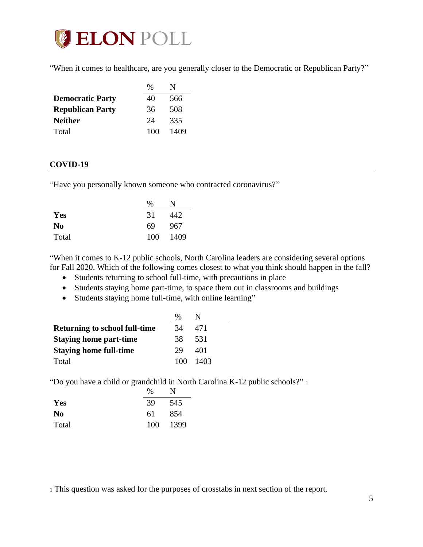

"When it comes to healthcare, are you generally closer to the Democratic or Republican Party?"

|                         | %   | N    |
|-------------------------|-----|------|
| <b>Democratic Party</b> | 40  | 566  |
| <b>Republican Party</b> | 36  | 508  |
| <b>Neither</b>          | 24  | 335  |
| Total                   | 100 | 1409 |

#### <span id="page-4-0"></span>**COVID-19**

"Have you personally known someone who contracted coronavirus?"

|                | $\%$ | N    |
|----------------|------|------|
| Yes            | 31   | 442  |
| N <sub>0</sub> | 69   | 967  |
| Total          | 100  | 1409 |

"When it comes to K-12 public schools, North Carolina leaders are considering several options for Fall 2020. Which of the following comes closest to what you think should happen in the fall?

- Students returning to school full-time, with precautions in place
- Students staying home part-time, to space them out in classrooms and buildings
- Students staying home full-time, with online learning"

|                                      | $\%$ |       |
|--------------------------------------|------|-------|
| <b>Returning to school full-time</b> | 34   | 471   |
| <b>Staying home part-time</b>        | 38   | 531   |
| <b>Staying home full-time</b>        | 29   | 401   |
| Total                                | 100. | -1403 |

"Do you have a child or grandchild in North Carolina K-12 public schools?" <sup>1</sup>

|                | %   | N    |
|----------------|-----|------|
| Yes            | 39  | 545  |
| N <sub>0</sub> | 61  | 854  |
| Total          | 100 | 1399 |

<sup>1</sup> This question was asked for the purposes of crosstabs in next section of the report.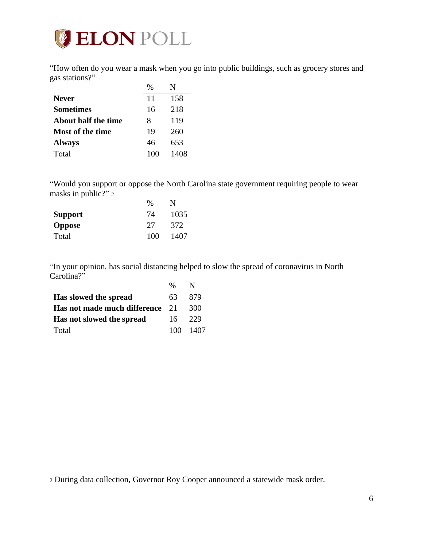

"How often do you wear a mask when you go into public buildings, such as grocery stores and gas stations?"  $0'_{6}$  N<sub>I</sub>

|                     | Yo  | N    |
|---------------------|-----|------|
| <b>Never</b>        | 11  | 158  |
| <b>Sometimes</b>    | 16  | 218  |
| About half the time | 8   | 119  |
| Most of the time    | 19  | 260  |
| <b>Always</b>       | 46  | 653  |
| Total               | 100 | 1408 |

"Would you support or oppose the North Carolina state government requiring people to wear masks in public?" 2  $\gamma$  NT

|                | $\%$ |      |
|----------------|------|------|
| <b>Support</b> | 74   | 1035 |
| <b>Oppose</b>  | 27   | 372  |
| Total          | 100  | 1407 |

"In your opinion, has social distancing helped to slow the spread of coronavirus in North Carolina?"

|                                 | $\%$ |          |
|---------------------------------|------|----------|
| Has slowed the spread           | 63   | -879     |
| Has not made much difference 21 |      | 300      |
| Has not slowed the spread       | 16.  | 229      |
| Total                           |      | 100 1407 |

<sup>2</sup> During data collection, Governor Roy Cooper announced a statewide mask order.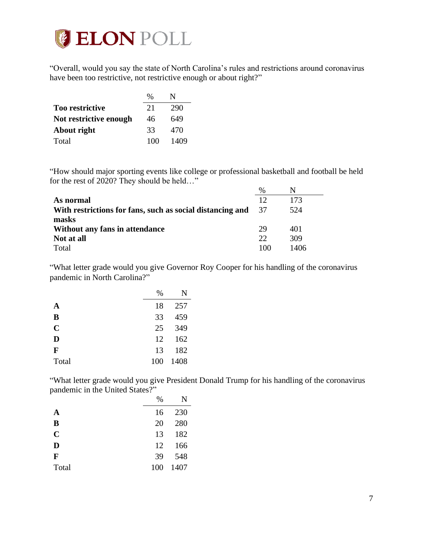

"Overall, would you say the state of North Carolina's rules and restrictions around coronavirus have been too restrictive, not restrictive enough or about right?"

|                        | $\%$ |      |
|------------------------|------|------|
| <b>Too restrictive</b> | 21   | 290  |
| Not restrictive enough | 46   | 649  |
| About right            | 33   | 470  |
| Total                  | 100  | 1409 |

"How should major sporting events like college or professional basketball and football be held for the rest of 2020? They should be held…"

|                                                           | $\%$ |      |
|-----------------------------------------------------------|------|------|
| As normal                                                 | 12   | 173  |
| With restrictions for fans, such as social distancing and | - 37 | 524  |
| masks                                                     |      |      |
| Without any fans in attendance                            | 29   | 401  |
| Not at all                                                | 22   | 309  |
| Total                                                     | 100  | 1406 |

"What letter grade would you give Governor Roy Cooper for his handling of the coronavirus pandemic in North Carolina?"

|             | %   | N    |
|-------------|-----|------|
| A           | 18  | 257  |
| B           | 33  | 459  |
| $\mathbf C$ | 25  | 349  |
| D           | 12  | 162  |
| F           | 13  | 182  |
| Total       | 100 | 1408 |

"What letter grade would you give President Donald Trump for his handling of the coronavirus pandemic in the United States?"

|             | $\%$ |      |
|-------------|------|------|
| A           | 16   | 230  |
| B           | 20   | 280  |
| $\mathbf C$ | 13   | 182  |
| D           | 12   | 166  |
| F           | 39   | 548  |
| Total       | 100  | 1407 |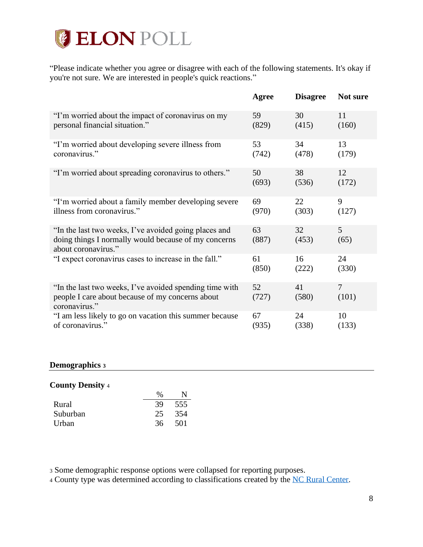# **ELON POLL**

"Please indicate whether you agree or disagree with each of the following statements. It's okay if you're not sure. We are interested in people's quick reactions."

|                                                                                                                                      | Agree       | <b>Disagree</b> | Not sure   |
|--------------------------------------------------------------------------------------------------------------------------------------|-------------|-----------------|------------|
| "I'm worried about the impact of coronavirus on my                                                                                   | 59          | 30              | 11         |
| personal financial situation."                                                                                                       | (829)       | (415)           | (160)      |
| "I'm worried about developing severe illness from                                                                                    | 53          | 34              | 13         |
| coronavirus."                                                                                                                        | (742)       | (478)           | (179)      |
| "I'm worried about spreading coronavirus to others."                                                                                 | 50          | 38              | 12         |
|                                                                                                                                      | (693)       | (536)           | (172)      |
| "I'm worried about a family member developing severe                                                                                 | 69          | 22              | 9          |
| illness from coronavirus."                                                                                                           | (970)       | (303)           | (127)      |
| "In the last two weeks, I've avoided going places and<br>doing things I normally would because of my concerns<br>about coronavirus." | 63<br>(887) | 32<br>(453)     | 5<br>(65)  |
| "I expect coronavirus cases to increase in the fall."                                                                                | 61          | 16              | 24         |
|                                                                                                                                      | (850)       | (222)           | (330)      |
| "In the last two weeks, I've avoided spending time with<br>people I care about because of my concerns about<br>coronavirus."         | 52<br>(727) | 41<br>(580)     | 7<br>(101) |
| "I am less likely to go on vacation this summer because                                                                              | 67          | 24              | 10         |
| of coronavirus."                                                                                                                     | (935)       | (338)           | (133)      |

#### <span id="page-7-0"></span>**Demographics <sup>3</sup>**

#### **County Density** <sup>4</sup>

|          | $\%$ |     |
|----------|------|-----|
| Rural    | 39   | 555 |
| Suburban | 25   | 354 |
| Urban    | 36   | 501 |

<sup>3</sup> Some demographic response options were collapsed for reporting purposes.

<sup>4</sup> County type was determined according to classifications created by the [NC Rural Center.](https://www.ncruralcenter.org/wp-content/uploads/2018/01/Rural-Map-2018-1.png)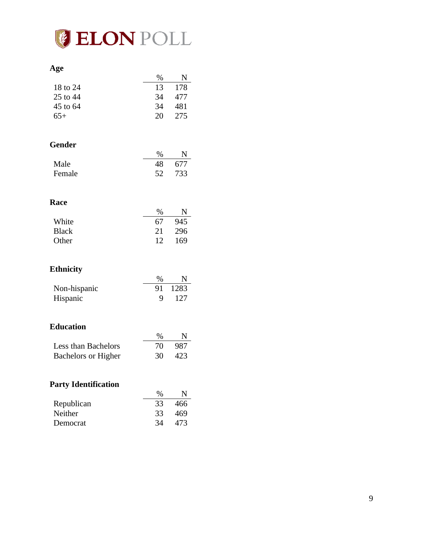

#### **Age**

|          | ℅  |      |
|----------|----|------|
| 18 to 24 | 13 | -178 |
| 25 to 44 | 34 | 477  |
| 45 to 64 | 34 | 481  |
| $65+$    | 20 | 275  |
|          |    |      |

## **Gender**

|        | %  | N      |
|--------|----|--------|
| Male   | 48 | 677    |
| Female |    | 52 733 |

#### **Race**

|              | $\%$ | N   |
|--------------|------|-----|
| White        | 67   | 945 |
| <b>Black</b> | 2.1  | 296 |
| Other        | 12   | 169 |

#### **Ethnicity**

|              | $\%$ | N       |
|--------------|------|---------|
| Non-hispanic |      | 91 1283 |
| Hispanic     | Q    | -127    |

## **Education**

|                            | $\%$ | N   |
|----------------------------|------|-----|
| Less than Bachelors        | 70.  | 987 |
| <b>Bachelors or Higher</b> | 30 F | 423 |

## **Party Identification**

|            | $\%$ | N   |
|------------|------|-----|
| Republican | 33   | 466 |
| Neither    | 33   | 469 |
| Democrat   | 34   | 473 |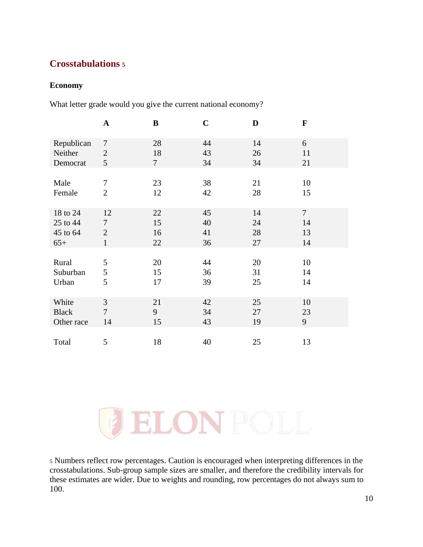# <span id="page-9-0"></span>**Crosstabulations <sup>5</sup>**

#### <span id="page-9-1"></span>**Economy**

What letter grade would you give the current national economy?

|              | $\mathbf A$    | ${\bf B}$ | $\mathbf C$ | D  | $\mathbf F$    |
|--------------|----------------|-----------|-------------|----|----------------|
| Republican   | $\overline{7}$ | 28        | 44          | 14 | 6              |
| Neither      | $\overline{2}$ | 18        | 43          | 26 | 11             |
| Democrat     | 5              | $\tau$    | 34          | 34 | 21             |
| Male         | 7              | 23        | 38          | 21 | 10             |
| Female       | $\overline{2}$ | 12        | 42          | 28 | 15             |
| 18 to 24     | 12             | 22        | 45          | 14 | $\overline{7}$ |
| 25 to 44     | 7              | 15        | 40          | 24 | 14             |
| 45 to 64     | $\overline{2}$ | 16        | 41          | 28 | 13             |
| $65+$        | $\mathbf{1}$   | 22        | 36          | 27 | 14             |
| Rural        | 5              | 20        | 44          | 20 | 10             |
| Suburban     | 5              | 15        | 36          | 31 | 14             |
| Urban        | 5              | 17        | 39          | 25 | 14             |
| White        | 3              | 21        | 42          | 25 | 10             |
| <b>Black</b> | $\overline{7}$ | 9         | 34          | 27 | 23             |
| Other race   | 14             | 15        | 43          | 19 | 9              |
| Total        | 5              | 18        | 40          | 25 | 13             |

ELONPOLI

<sup>5</sup> Numbers reflect row percentages. Caution is encouraged when interpreting differences in the crosstabulations. Sub-group sample sizes are smaller, and therefore the credibility intervals for these estimates are wider. Due to weights and rounding, row percentages do not always sum to 100.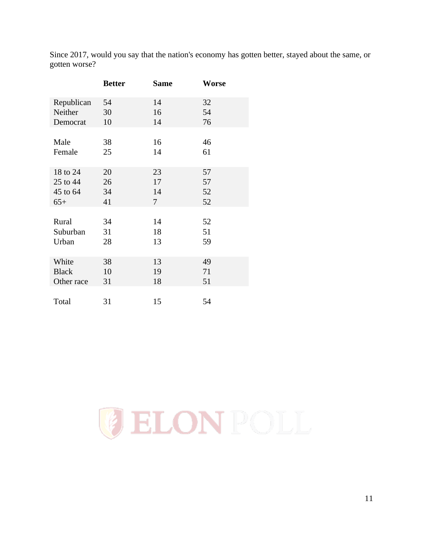Since 2017, would you say that the nation's economy has gotten better, stayed about the same, or gotten worse?

|              | <b>Better</b> | <b>Same</b>    | Worse |
|--------------|---------------|----------------|-------|
| Republican   | 54            | 14             | 32    |
| Neither      | 30            | 16             | 54    |
| Democrat     | 10            | 14             | 76    |
|              |               |                |       |
| Male         | 38            | 16             | 46    |
| Female       | 25            | 14             | 61    |
|              |               |                |       |
| 18 to 24     | 20            | 23             | 57    |
| 25 to 44     | 26            | 17             | 57    |
| 45 to 64     | 34            | 14             | 52    |
| $65+$        | 41            | $\overline{7}$ | 52    |
|              |               |                |       |
| Rural        | 34            | 14             | 52    |
| Suburban     | 31            | 18             | 51    |
| Urban        | 28            | 13             | 59    |
|              |               |                |       |
| White        | 38            | 13             | 49    |
| <b>Black</b> | 10            | 19             | 71    |
| Other race   | 31            | 18             | 51    |
|              |               |                |       |
| Total        | 31            | 15             | 54    |

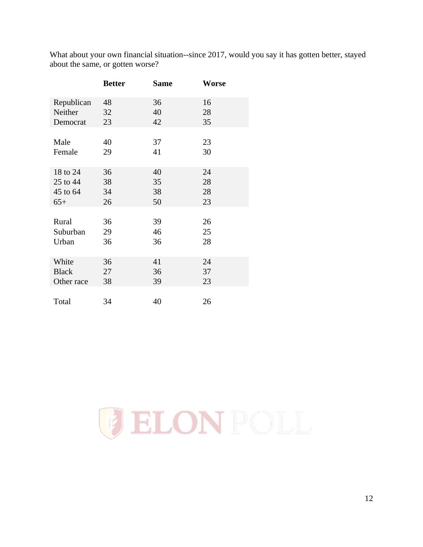| What about your own financial situation--since 2017, would you say it has gotten better, stayed |  |
|-------------------------------------------------------------------------------------------------|--|
| about the same, or gotten worse?                                                                |  |

|              | <b>Better</b> | <b>Same</b> | Worse |
|--------------|---------------|-------------|-------|
| Republican   | 48            | 36          | 16    |
| Neither      | 32            | 40          | 28    |
| Democrat     | 23            | 42          | 35    |
|              |               |             |       |
| Male         | 40            | 37          | 23    |
| Female       | 29            | 41          | 30    |
|              |               |             |       |
| 18 to 24     | 36            | 40          | 24    |
| 25 to 44     | 38            | 35          | 28    |
| 45 to 64     | 34            | 38          | 28    |
| $65+$        | 26            | 50          | 23    |
|              |               |             |       |
| Rural        | 36            | 39          | 26    |
| Suburban     | 29            | 46          | 25    |
| Urban        | 36            | 36          | 28    |
|              |               |             |       |
| White        | 36            | 41          | 24    |
| <b>Black</b> | 27            | 36          | 37    |
| Other race   | 38            | 39          | 23    |
|              |               |             |       |
| Total        | 34            | 40          | 26    |

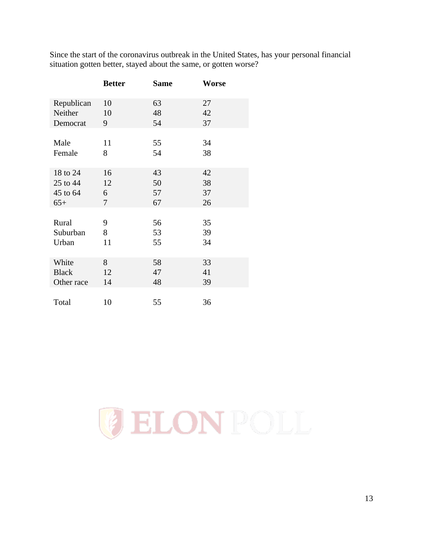Since the start of the coronavirus outbreak in the United States, has your personal financial situation gotten better, stayed about the same, or gotten worse?

|              | <b>Better</b> | <b>Same</b> | Worse |
|--------------|---------------|-------------|-------|
| Republican   | 10            | 63          | 27    |
| Neither      | 10            | 48          | 42    |
| Democrat     | 9             | 54          | 37    |
|              |               |             |       |
| Male         | 11            | 55          | 34    |
| Female       | 8             | 54          | 38    |
|              |               |             |       |
| 18 to 24     | 16            | 43          | 42    |
| 25 to 44     | 12            | 50          | 38    |
| 45 to 64     | 6             | 57          | 37    |
| $65+$        | 7             | 67          | 26    |
|              |               |             |       |
| Rural        | 9             | 56          | 35    |
| Suburban     | 8             | 53          | 39    |
| Urban        | 11            | 55          | 34    |
|              |               |             |       |
| White        | 8             | 58          | 33    |
| <b>Black</b> | 12            | 47          | 41    |
| Other race   | 14            | 48          | 39    |
|              |               |             |       |
| Total        | 10            | 55          | 36    |

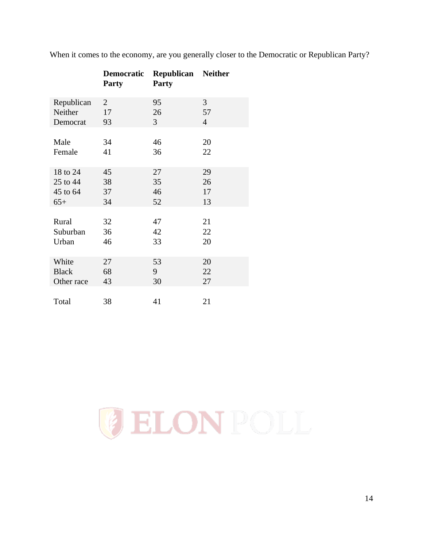|              | <b>Democratic</b><br><b>Party</b> | Republican<br><b>Party</b> | <b>Neither</b> |
|--------------|-----------------------------------|----------------------------|----------------|
| Republican   | $\overline{2}$                    | 95                         | 3              |
| Neither      | 17                                | 26                         | 57             |
| Democrat     | 93                                | 3                          | $\overline{4}$ |
|              |                                   |                            |                |
| Male         | 34                                | 46                         | 20             |
| Female       | 41                                | 36                         | 22             |
|              |                                   |                            |                |
| 18 to 24     | 45                                | 27                         | 29             |
| 25 to 44     | 38                                | 35                         | 26             |
| 45 to 64     | 37                                | 46                         | 17             |
| $65+$        | 34                                | 52                         | 13             |
|              |                                   |                            |                |
| Rural        | 32                                | 47                         | 21             |
| Suburban     | 36                                | 42                         | 22             |
| Urban        | 46                                | 33                         | 20             |
|              |                                   |                            |                |
| White        | 27                                | 53                         | 20             |
| <b>Black</b> | 68                                | 9                          | 22             |
| Other race   | 43                                | 30                         | 27             |
|              |                                   |                            |                |
| Total        | 38                                | 41                         | 21             |

When it comes to the economy, are you generally closer to the Democratic or Republican Party?

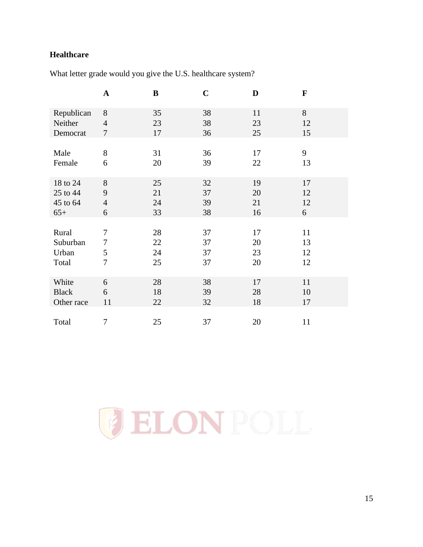# <span id="page-14-0"></span>**Healthcare**

What letter grade would you give the U.S. healthcare system?

|              | $\mathbf A$    | $\bf{B}$ | $\mathbf C$ | D  | $\mathbf F$ |
|--------------|----------------|----------|-------------|----|-------------|
| Republican   | 8              | 35       | 38          | 11 | 8           |
| Neither      | $\overline{4}$ | 23       | 38          | 23 | 12          |
| Democrat     | $\overline{7}$ | 17       | 36          | 25 | 15          |
| Male         | 8              | 31       | 36          | 17 | 9           |
| Female       | 6              | 20       | 39          | 22 | 13          |
| 18 to 24     | 8              | 25       | 32          | 19 | 17          |
| 25 to 44     | 9              | 21       | 37          | 20 | 12          |
| 45 to 64     | $\overline{4}$ | 24       | 39          | 21 | 12          |
| $65+$        | 6              | 33       | 38          | 16 | 6           |
| Rural        | 7              | 28       | 37          | 17 | 11          |
| Suburban     | $\tau$         | 22       | 37          | 20 | 13          |
| Urban        | $\mathfrak s$  | 24       | 37          | 23 | 12          |
| Total        | $\overline{7}$ | 25       | 37          | 20 | 12          |
| White        | 6              | 28       | 38          | 17 | 11          |
| <b>Black</b> | 6              | 18       | 39          | 28 | 10          |
| Other race   | 11             | 22       | 32          | 18 | 17          |
| Total        | 7              | 25       | 37          | 20 | 11          |

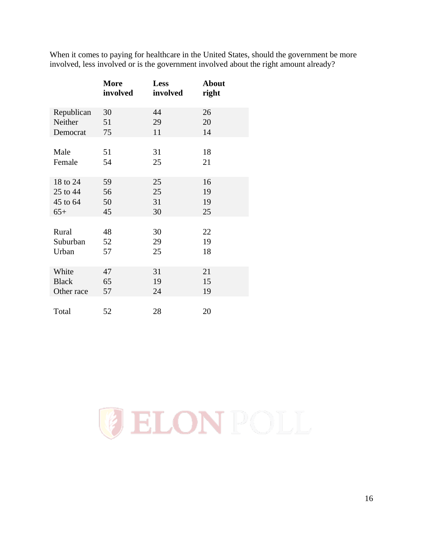When it comes to paying for healthcare in the United States, should the government be more involved, less involved or is the government involved about the right amount already?

|              | <b>More</b><br>involved | <b>Less</b><br>involved | <b>About</b><br>right |
|--------------|-------------------------|-------------------------|-----------------------|
| Republican   | 30                      | 44                      | 26                    |
| Neither      | 51                      | 29                      | 20                    |
| Democrat     | 75                      | 11                      | 14                    |
|              |                         |                         |                       |
| Male         | 51                      | 31                      | 18                    |
| Female       | 54                      | 25                      | 21                    |
|              |                         |                         |                       |
| 18 to 24     | 59                      | 25                      | 16                    |
| 25 to 44     | 56                      | 25                      | 19                    |
| 45 to 64     | 50                      | 31                      | 19                    |
| $65+$        | 45                      | 30                      | 25                    |
|              |                         |                         |                       |
| Rural        | 48                      | 30                      | 22                    |
| Suburban     | 52                      | 29                      | 19                    |
| Urban        | 57                      | 25                      | 18                    |
|              |                         |                         |                       |
| White        | 47                      | 31                      | 21                    |
| <b>Black</b> | 65                      | 19                      | 15                    |
| Other race   | 57                      | 24                      | 19                    |
|              |                         |                         |                       |
| Total        | 52                      | 28                      | 20                    |

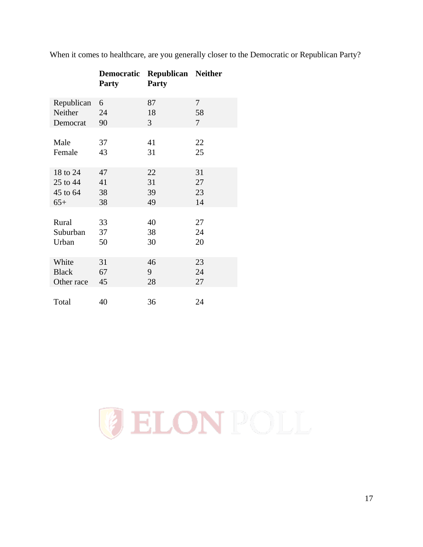|              | <b>Democratic</b><br><b>Party</b> | <b>Republican Neither</b><br><b>Party</b> |    |
|--------------|-----------------------------------|-------------------------------------------|----|
| Republican   | 6                                 | 87                                        | 7  |
| Neither      | 24                                | 18                                        | 58 |
| Democrat     | 90                                | 3                                         | 7  |
| Male         | 37                                | 41                                        | 22 |
| Female       | 43                                | 31                                        | 25 |
| 18 to 24     | 47                                | 22                                        | 31 |
| 25 to 44     | 41                                | 31                                        | 27 |
| 45 to 64     | 38                                | 39                                        | 23 |
| $65+$        | 38                                | 49                                        | 14 |
|              |                                   |                                           |    |
| Rural        | 33                                | 40                                        | 27 |
| Suburban     | 37                                | 38                                        | 24 |
| Urban        | 50                                | 30                                        | 20 |
| White        | 31                                | 46                                        | 23 |
| <b>Black</b> | 67                                | 9                                         | 24 |
| Other race   | 45                                | 28                                        | 27 |
|              |                                   |                                           |    |
| Total        | 40                                | 36                                        | 24 |

When it comes to healthcare, are you generally closer to the Democratic or Republican Party?

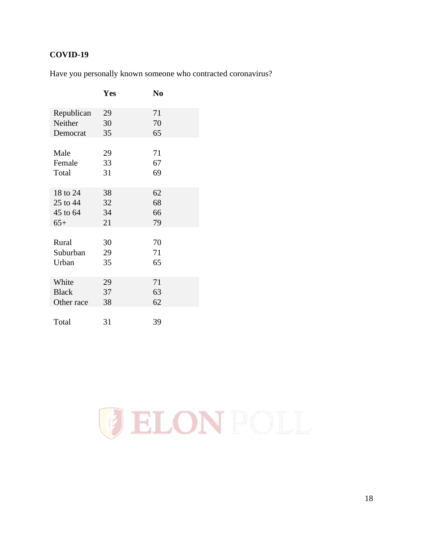# <span id="page-17-0"></span>**COVID-19**

|  |  |  |  |  |  |  | Have you personally known someone who contracted coronavirus? |
|--|--|--|--|--|--|--|---------------------------------------------------------------|
|--|--|--|--|--|--|--|---------------------------------------------------------------|

|              | Yes | N <sub>0</sub> |
|--------------|-----|----------------|
| Republican   | 29  | 71             |
| Neither      | 30  | 70             |
| Democrat     | 35  | 65             |
|              |     |                |
| Male         | 29  | 71             |
| Female       | 33  | 67             |
| Total        | 31  | 69             |
|              |     |                |
| 18 to 24     | 38  | 62             |
| 25 to 44     | 32  | 68             |
| 45 to 64     | 34  | 66             |
| $65+$        | 21  | 79             |
|              |     |                |
| Rural        | 30  | 70             |
| Suburban     | 29  | 71             |
| Urban        | 35  | 65             |
|              |     |                |
| White        | 29  | 71             |
| <b>Black</b> | 37  | 63             |
| Other race   | 38  | 62             |
|              |     |                |
| Total        | 31  | 39             |

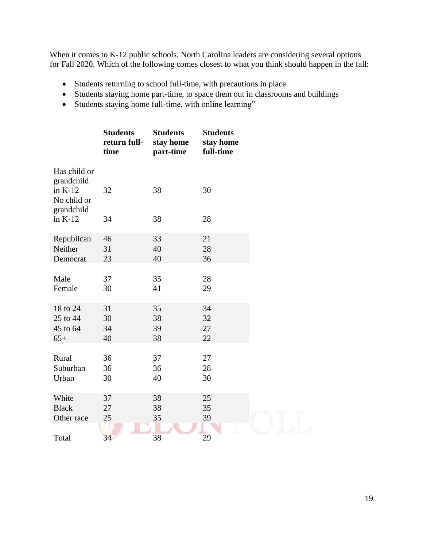When it comes to K-12 public schools, North Carolina leaders are considering several options for Fall 2020. Which of the following comes closest to what you think should happen in the fall:

- Students returning to school full-time, with precautions in place
- Students staying home part-time, to space them out in classrooms and buildings
- Students staying home full-time, with online learning"

|                                                        | <b>Students</b><br>return full-<br>time | <b>Students</b><br>stay home<br>part-time | <b>Students</b><br>stay home<br>full-time |  |
|--------------------------------------------------------|-----------------------------------------|-------------------------------------------|-------------------------------------------|--|
| Has child or<br>grandchild<br>in $K-12$<br>No child or | 32                                      | 38                                        | 30                                        |  |
| grandchild<br>in $K-12$                                | 34                                      | 38                                        | 28                                        |  |
| Republican                                             | 46                                      | 33                                        | 21                                        |  |
| Neither                                                | 31                                      | 40                                        | 28                                        |  |
| Democrat                                               | 23                                      | 40                                        | 36                                        |  |
| Male                                                   | 37                                      | 35                                        | 28                                        |  |
| Female                                                 | 30                                      | 41                                        | 29                                        |  |
| 18 to 24                                               | 31                                      | 35                                        | 34                                        |  |
| 25 to 44                                               | 30                                      | 38                                        | 32                                        |  |
| 45 to 64                                               | 34                                      | 39                                        | 27                                        |  |
| $65+$                                                  | 40                                      | 38                                        | 22                                        |  |
| Rural                                                  | 36                                      | 37                                        | 27                                        |  |
| Suburban                                               | 36                                      | 36                                        | 28                                        |  |
| Urban                                                  | 30                                      | 40                                        | 30                                        |  |
| White                                                  | 37                                      | 38                                        | 25                                        |  |
| <b>Black</b>                                           | 27                                      | 38                                        | 35                                        |  |
| Other race                                             | 25                                      | 35                                        | 39                                        |  |
| Total                                                  | 34                                      | 38                                        | 29                                        |  |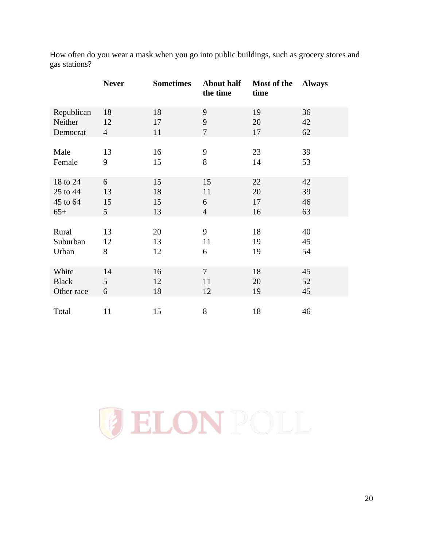| gas stations? |              |                  |          |                                |               |
|---------------|--------------|------------------|----------|--------------------------------|---------------|
|               | <b>Never</b> | <b>Sometimes</b> | the time | About half Most of the<br>time | <b>Always</b> |
| Republican    | 18           | 18               |          | 19                             | 36            |
| Neither       |              |                  |          | 20                             | 42            |

Democrat 4 11 7 17 62

Male 13 16 9 23 39 Female 9 15 8 14 53

18 to 24 6 15 15 22 42 25 to 44 13 18 11 20 39 45 to 64 15 15 6 17 46 65+ 5 13 4 16 63

Rural 13 20 9 18 40 Suburban 12 13 11 19 45 Urban 8 12 6 19 54

White 14 16 7 18 45 Black 5 12 11 20 52 Other race 6 18 12 19 45

Total 11 15 8 18 46

How often do you wear a mask when you go into public buildings, such as grocery stores and

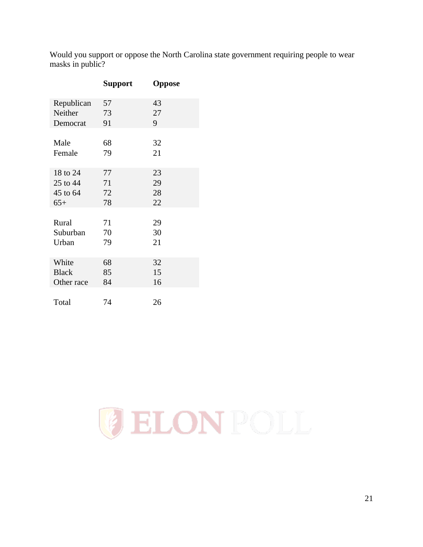Would you support or oppose the North Carolina state government requiring people to wear masks in public?

|              | <b>Support</b> | Oppose |
|--------------|----------------|--------|
| Republican   | 57             | 43     |
| Neither      | 73             | 27     |
| Democrat     | 91             | 9      |
| Male         | 68             | 32     |
| Female       | 79             | 21     |
| 18 to 24     | 77             | 23     |
| 25 to 44     | 71             | 29     |
| 45 to 64     | 72             | 28     |
| $65+$        | 78             | 22     |
| Rural        | 71             | 29     |
| Suburban     | 70             | 30     |
| Urban        | 79             | 21     |
| White        | 68             | 32     |
| <b>Black</b> | 85             | 15     |
| Other race   | 84             | 16     |
| Total        | 74             | 26     |

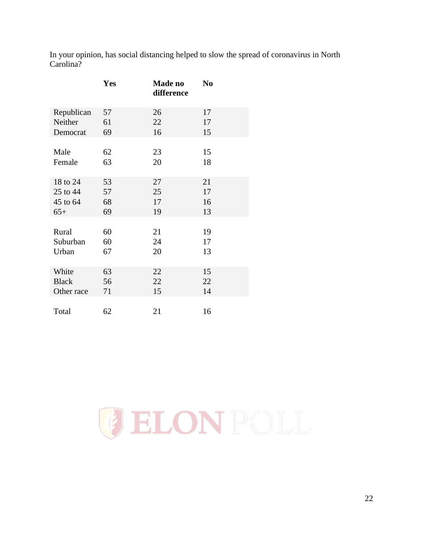In your opinion, has social distancing helped to slow the spread of coronavirus in North Carolina?

|              | Yes | Made no<br>difference | N <sub>0</sub> |
|--------------|-----|-----------------------|----------------|
| Republican   | 57  | 26                    | 17             |
| Neither      | 61  | 22                    | 17             |
| Democrat     | 69  | 16                    | 15             |
|              |     |                       |                |
| Male         | 62  | 23                    | 15             |
| Female       | 63  | 20                    | 18             |
|              |     |                       |                |
| 18 to 24     | 53  | 27                    | 21             |
| 25 to 44     | 57  | 25                    | 17             |
| 45 to 64     | 68  | 17                    | 16             |
| $65+$        | 69  | 19                    | 13             |
|              |     |                       |                |
| Rural        | 60  | 21                    | 19             |
| Suburban     | 60  | 24                    | 17             |
| Urban        | 67  | 20                    | 13             |
|              |     |                       |                |
| White        | 63  | 22                    | 15             |
| <b>Black</b> | 56  | 22                    | 22             |
| Other race   | 71  | 15                    | 14             |
|              |     |                       |                |
| Total        | 62  | 21                    | 16             |

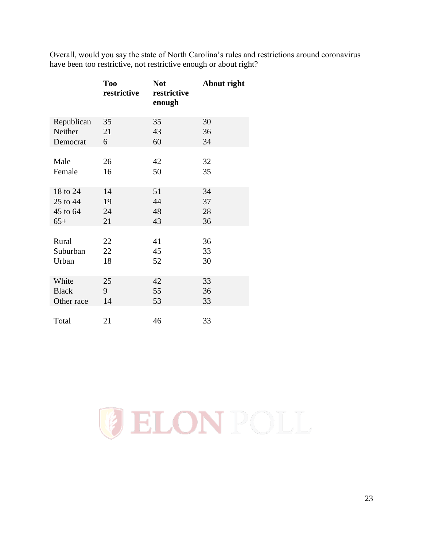Overall, would you say the state of North Carolina's rules and restrictions around coronavirus have been too restrictive, not restrictive enough or about right?

|              | <b>Too</b><br>restrictive | <b>Not</b><br>restrictive<br>enough | About right |
|--------------|---------------------------|-------------------------------------|-------------|
| Republican   | 35                        | 35                                  | 30          |
| Neither      | 21                        | 43                                  | 36          |
| Democrat     | 6                         | 60                                  | 34          |
|              |                           |                                     |             |
| Male         | 26                        | 42                                  | 32          |
| Female       | 16                        | 50                                  | 35          |
|              |                           |                                     |             |
| 18 to 24     | 14                        | 51                                  | 34          |
| 25 to 44     | 19                        | 44                                  | 37          |
| 45 to 64     | 24                        | 48                                  | 28          |
| $65+$        | 21                        | 43                                  | 36          |
|              |                           |                                     |             |
| Rural        | 22                        | 41                                  | 36          |
| Suburban     | 22                        | 45                                  | 33          |
| Urban        | 18                        | 52                                  | 30          |
|              |                           |                                     |             |
| White        | 25                        | 42                                  | 33          |
| <b>Black</b> | 9                         | 55                                  | 36          |
| Other race   | 14                        | 53                                  | 33          |
|              |                           |                                     |             |
| Total        | 21                        | 46                                  | 33          |

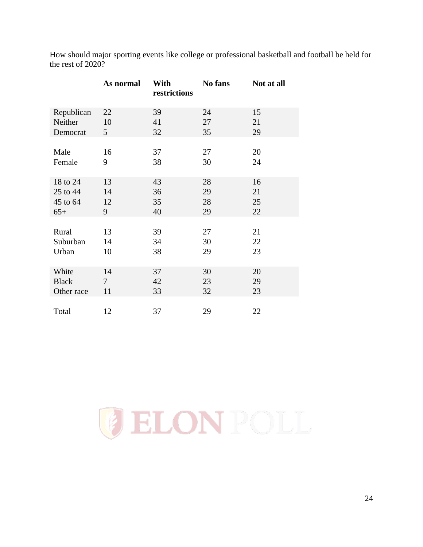|              | As normal | With<br>restrictions | No fans | Not at all |
|--------------|-----------|----------------------|---------|------------|
| Republican   | 22        | 39                   | 24      | 15         |
| Neither      | 10        | 41                   | 27      | 21         |
| Democrat     | 5         | 32                   | 35      | 29         |
| Male         | 16        | 37                   | 27      | 20         |
| Female       | 9         | 38                   | 30      | 24         |
| 18 to 24     | 13        | 43                   | 28      | 16         |
| 25 to 44     | 14        | 36                   | 29      | 21         |
| 45 to 64     | 12        | 35                   | 28      | 25         |
| $65+$        | 9         | 40                   | 29      | 22         |
|              |           |                      |         |            |
| Rural        | 13        | 39                   | 27      | 21         |
| Suburban     | 14        | 34                   | 30      | 22         |
| Urban        | 10        | 38                   | 29      | 23         |
| White        | 14        | 37                   | 30      | 20         |
| <b>Black</b> | $\tau$    | 42                   | 23      | 29         |
| Other race   | 11        | 33                   | 32      | 23         |
| Total        | 12        | 37                   | 29      | 22         |

How should major sporting events like college or professional basketball and football be held for the rest of 2020?

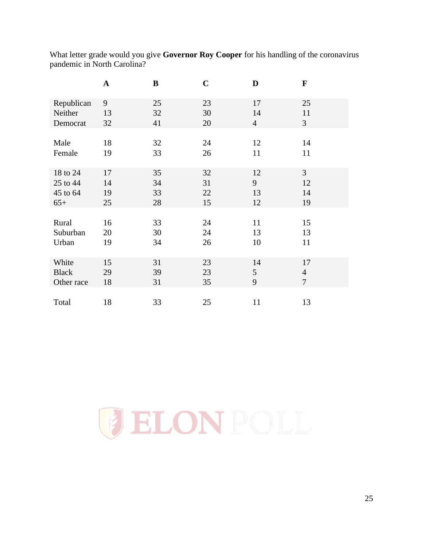What letter grade would you give **Governor Roy Cooper** for his handling of the coronavirus pandemic in North Carolina?

|              | $\mathbf A$ | B  | $\mathbf C$ | D              | F              |
|--------------|-------------|----|-------------|----------------|----------------|
| Republican   | 9           | 25 | 23          | 17             | 25             |
| Neither      | 13          | 32 | 30          | 14             | 11             |
| Democrat     | 32          | 41 | 20          | $\overline{4}$ | $\mathfrak{Z}$ |
| Male         | 18          | 32 | 24          | 12             | 14             |
| Female       | 19          | 33 | 26          | 11             | 11             |
| 18 to 24     | 17          | 35 | 32          | 12             | $\overline{3}$ |
| 25 to 44     | 14          | 34 | 31          | 9              | 12             |
| 45 to 64     | 19          | 33 | 22          | 13             | 14             |
| $65+$        | 25          | 28 | 15          | 12             | 19             |
| Rural        | 16          | 33 | 24          | 11             | 15             |
| Suburban     | 20          | 30 | 24          | 13             | 13             |
| Urban        | 19          | 34 | 26          | 10             | 11             |
| White        | 15          | 31 | 23          | 14             | 17             |
| <b>Black</b> | 29          | 39 | 23          | 5              | $\overline{4}$ |
| Other race   | 18          | 31 | 35          | 9              | $\overline{7}$ |
| Total        | 18          | 33 | 25          | 11             | 13             |

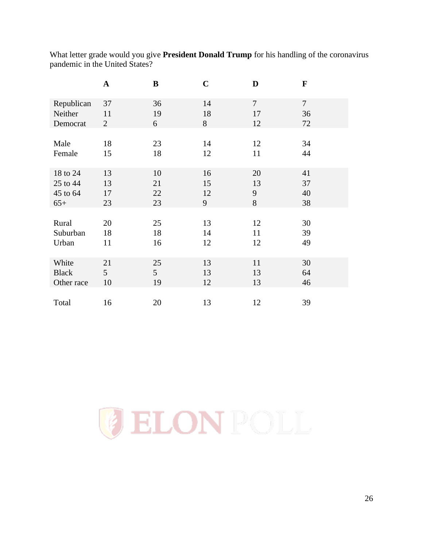What letter grade would you give **President Donald Trump** for his handling of the coronavirus pandemic in the United States?

|              | $\mathbf A$    | B               | $\mathbf C$ | D              | F              |
|--------------|----------------|-----------------|-------------|----------------|----------------|
| Republican   | 37             | 36              | 14          | $\overline{7}$ | $\overline{7}$ |
| Neither      | 11             | 19              | 18          | 17             | 36             |
| Democrat     | $\overline{2}$ | 6               | 8           | 12             | 72             |
| Male         | 18             | 23              | 14          | 12             | 34             |
| Female       | 15             | 18              | 12          | 11             | 44             |
| 18 to 24     | 13             | 10              | 16          | 20             | 41             |
| 25 to 44     | 13             | 21              | 15          | 13             | 37             |
| 45 to 64     | 17             | 22              | 12          | 9              | 40             |
| $65+$        | 23             | 23              | 9           | 8              | 38             |
| Rural        | 20             | 25              | 13          | 12             | 30             |
| Suburban     | 18             | 18              | 14          | 11             | 39             |
| Urban        | 11             | 16              | 12          | 12             | 49             |
| White        | 21             | 25              | 13          | 11             | 30             |
| <b>Black</b> | 5              | $5\overline{)}$ | 13          | 13             | 64             |
| Other race   | 10             | 19              | 12          | 13             | 46             |
| Total        | 16             | 20              | 13          | 12             | 39             |

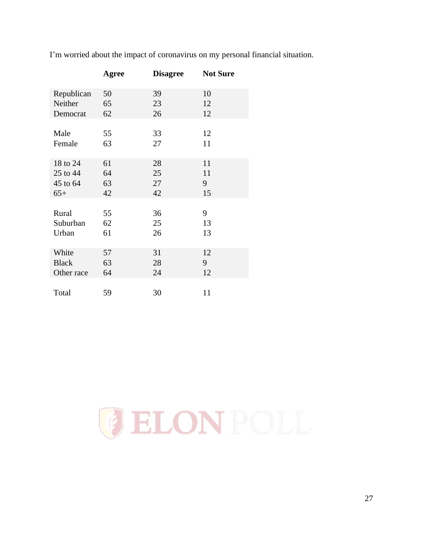|              | Agree | <b>Disagree</b> | <b>Not Sure</b> |
|--------------|-------|-----------------|-----------------|
| Republican   | 50    | 39              | 10              |
| Neither      | 65    | 23              | 12              |
| Democrat     | 62    | 26              | 12              |
| Male         | 55    | 33              | 12              |
| Female       | 63    | 27              | 11              |
| 18 to 24     | 61    | 28              | 11              |
| 25 to 44     | 64    | 25              | 11              |
| 45 to 64     | 63    | 27              | 9               |
| $65+$        | 42    | 42              | 15              |
| Rural        | 55    | 36              | 9               |
| Suburban     | 62    | 25              | 13              |
| Urban        | 61    | 26              | 13              |
| White        | 57    | 31              | 12              |
| <b>Black</b> | 63    | 28              | 9               |
| Other race   | 64    | 24              | 12              |
| Total        | 59    | 30              | 11              |

I'm worried about the impact of coronavirus on my personal financial situation.

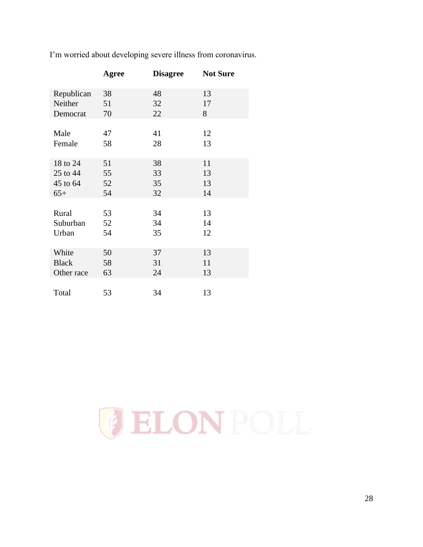|              | Agree | <b>Disagree</b> | <b>Not Sure</b> |
|--------------|-------|-----------------|-----------------|
| Republican   | 38    | 48              | 13              |
| Neither      | 51    | 32              | 17              |
| Democrat     | 70    | 22              | 8               |
| Male         | 47    | 41              | 12              |
| Female       | 58    | 28              | 13              |
| 18 to 24     | 51    | 38              | 11              |
| 25 to 44     | 55    | 33              | 13              |
| 45 to 64     | 52    | 35              | 13              |
| $65+$        | 54    | 32              | 14              |
| Rural        | 53    | 34              | 13              |
| Suburban     | 52    | 34              | 14              |
| Urban        | 54    | 35              | 12              |
| White        | 50    | 37              | 13              |
| <b>Black</b> | 58    | 31              | 11              |
| Other race   | 63    | 24              | 13              |
| Total        | 53    | 34              | 13              |

I'm worried about developing severe illness from coronavirus.

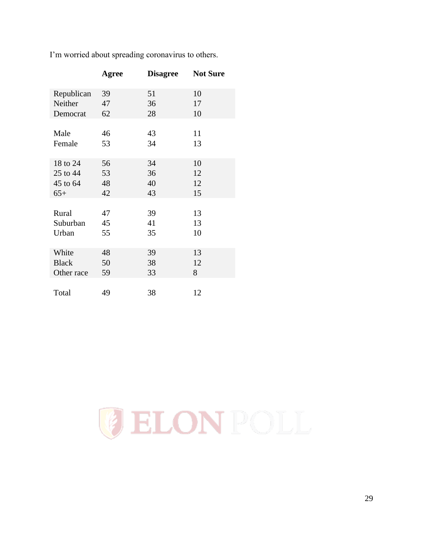|              | Agree | <b>Disagree</b> | <b>Not Sure</b> |
|--------------|-------|-----------------|-----------------|
| Republican   | 39    | 51              | 10              |
| Neither      | 47    | 36              | 17              |
| Democrat     | 62    | 28              | 10              |
| Male         | 46    | 43              | 11              |
| Female       | 53    | 34              | 13              |
| 18 to 24     | 56    | 34              | 10              |
| 25 to 44     | 53    | 36              | 12              |
| 45 to 64     | 48    | 40              | 12              |
| $65+$        | 42    | 43              | 15              |
| Rural        | 47    | 39              | 13              |
| Suburban     | 45    | 41              | 13              |
| Urban        | 55    | 35              | 10              |
| White        | 48    | 39              | 13              |
| <b>Black</b> | 50    | 38              | 12              |
| Other race   | 59    | 33              | 8               |
| Total        | 49    | 38              | 12              |

I'm worried about spreading coronavirus to others.

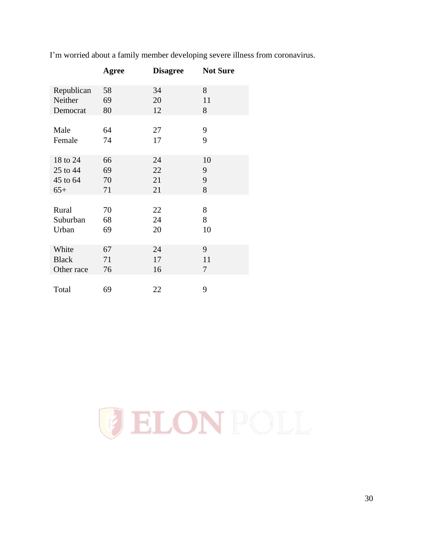|              | Agree | <b>Disagree</b> | <b>Not Sure</b> |
|--------------|-------|-----------------|-----------------|
| Republican   | 58    | 34              | 8               |
| Neither      | 69    | 20              | 11              |
| Democrat     | 80    | 12              | 8               |
| Male         | 64    | 27              | 9               |
| Female       | 74    | 17              | 9               |
| 18 to 24     | 66    | 24              | 10              |
| 25 to 44     | 69    | 22              | 9               |
| 45 to 64     | 70    | 21              | 9               |
| $65+$        | 71    | 21              | 8               |
| Rural        | 70    | 22              | 8               |
| Suburban     | 68    | 24              | 8               |
| Urban        | 69    | 20              | 10              |
| White        | 67    | 24              | 9               |
| <b>Black</b> | 71    | 17              | 11              |
| Other race   | 76    | 16              | 7               |
| Total        | 69    | 22              | 9               |

I'm worried about a family member developing severe illness from coronavirus.

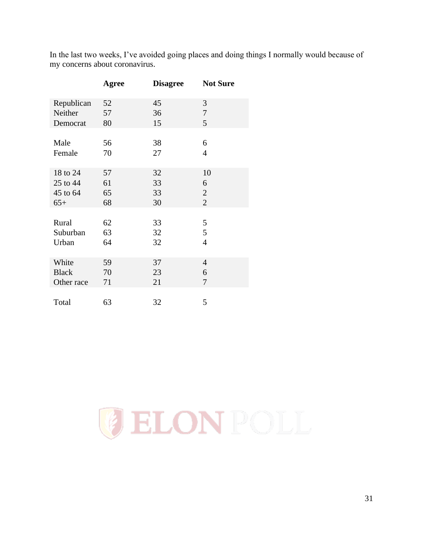In the last two weeks, I've avoided going places and doing things I normally would because of my concerns about coronavirus.

|              | Agree | <b>Disagree</b> | <b>Not Sure</b> |
|--------------|-------|-----------------|-----------------|
| Republican   | 52    | 45              | 3               |
| Neither      | 57    | 36              | $\tau$          |
| Democrat     | 80    | 15              | 5               |
| Male         | 56    | 38              | 6               |
| Female       | 70    | 27              | $\overline{4}$  |
| 18 to 24     | 57    | 32              | 10              |
| 25 to 44     | 61    | 33              | 6               |
| 45 to 64     | 65    | 33              | $\mathbf{2}$    |
| $65+$        | 68    | 30              | $\overline{2}$  |
| Rural        | 62    | 33              | 5               |
| Suburban     | 63    | 32              | 5               |
| Urban        | 64    | 32              | $\overline{4}$  |
| White        | 59    | 37              | $\overline{4}$  |
| <b>Black</b> | 70    | 23              | 6               |
| Other race   | 71    | 21              | 7               |
| Total        | 63    | 32              | 5               |

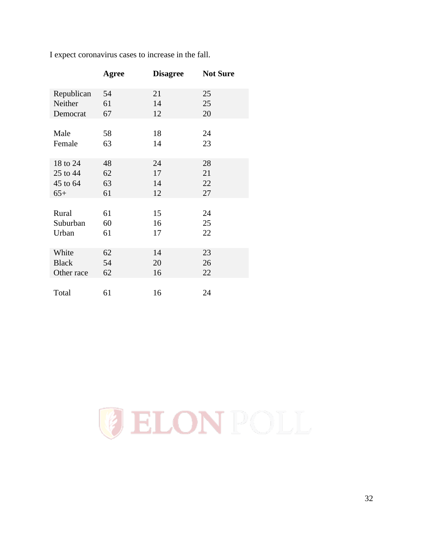|              | Agree | <b>Disagree</b> | <b>Not Sure</b> |
|--------------|-------|-----------------|-----------------|
| Republican   | 54    | 21              | 25              |
| Neither      | 61    | 14              | 25              |
| Democrat     | 67    | 12              | 20              |
|              |       |                 |                 |
| Male         | 58    | 18              | 24              |
| Female       | 63    | 14              | 23              |
|              |       |                 |                 |
| 18 to 24     | 48    | 24              | 28              |
| 25 to 44     | 62    | 17              | 21              |
| 45 to 64     | 63    | 14              | 22              |
| $65+$        | 61    | 12              | 27              |
|              |       |                 |                 |
| Rural        | 61    | 15              | 24              |
| Suburban     | 60    | 16              | 25              |
| Urban        | 61    | 17              | 22              |
|              |       |                 |                 |
| White        | 62    | 14              | 23              |
| <b>Black</b> | 54    | 20              | 26              |
| Other race   | 62    | 16              | 22              |
|              |       |                 |                 |
| Total        | 61    | 16              | 24              |

I expect coronavirus cases to increase in the fall.

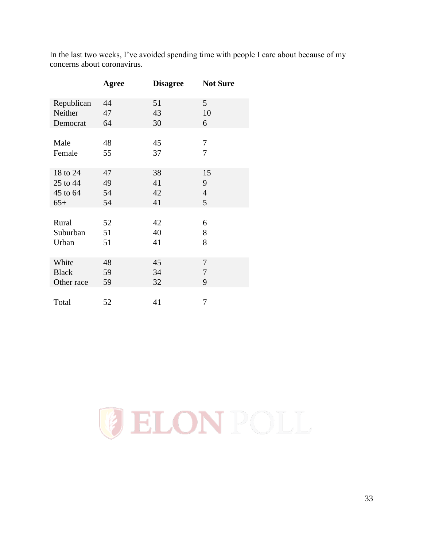|              | Agree | <b>Disagree</b> | <b>Not Sure</b> |
|--------------|-------|-----------------|-----------------|
| Republican   | 44    | 51              | 5               |
| Neither      | 47    | 43              | 10              |
| Democrat     | 64    | 30              | 6               |
|              |       |                 |                 |
| Male         | 48    | 45              | 7               |
| Female       | 55    | 37              | 7               |
|              |       |                 |                 |
| 18 to 24     | 47    | 38              | 15              |
| 25 to 44     | 49    | 41              | 9               |
| 45 to 64     | 54    | 42              | $\overline{4}$  |
| $65+$        | 54    | 41              | 5               |
|              |       |                 |                 |
| Rural        | 52    | 42              | 6               |
| Suburban     | 51    | 40              | 8               |
| Urban        | 51    | 41              | 8               |
|              |       |                 |                 |
| White        | 48    | 45              | 7               |
| <b>Black</b> | 59    | 34              | 7               |
| Other race   | 59    | 32              | 9               |
|              |       |                 |                 |
| Total        | 52    | 41              | 7               |

In the last two weeks, I've avoided spending time with people I care about because of my concerns about coronavirus.

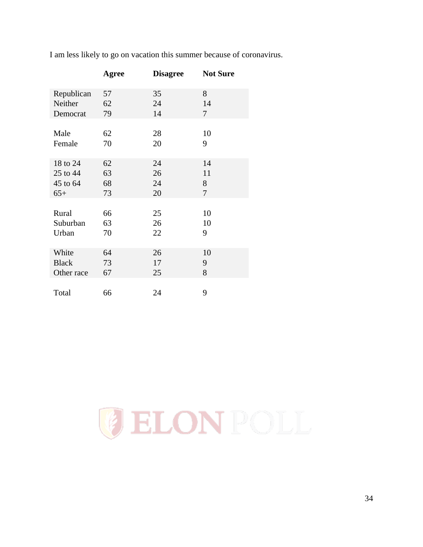|              | Agree | <b>Disagree</b> | <b>Not Sure</b> |
|--------------|-------|-----------------|-----------------|
| Republican   | 57    | 35              | 8               |
| Neither      | 62    | 24              | 14              |
| Democrat     | 79    | 14              | 7               |
| Male         | 62    | 28              | 10              |
| Female       | 70    | 20              | 9               |
| 18 to 24     | 62    | 24              | 14              |
| 25 to 44     | 63    | 26              | 11              |
| 45 to 64     | 68    | 24              | 8               |
| $65+$        | 73    | 20              | $\overline{7}$  |
| Rural        | 66    | 25              | 10              |
| Suburban     | 63    | 26              | 10              |
| Urban        | 70    | 22              | 9               |
| White        | 64    | 26              | 10              |
| <b>Black</b> | 73    | 17              | 9               |
| Other race   | 67    | 25              | 8               |
| Total        | 66    | 24              | 9               |

I am less likely to go on vacation this summer because of coronavirus.

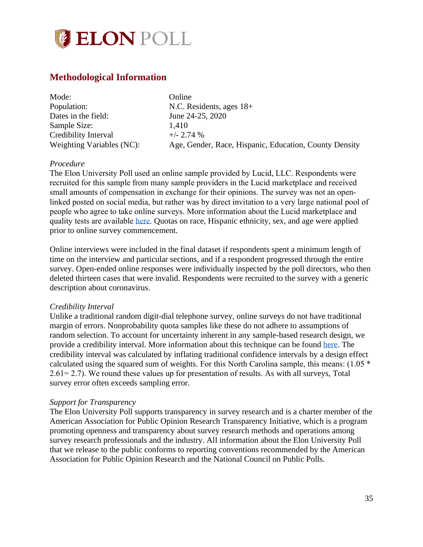

## <span id="page-34-0"></span>**Methodological Information**

| Mode:                     | Online                                                 |
|---------------------------|--------------------------------------------------------|
| Population:               | N.C. Residents, ages $18+$                             |
| Dates in the field:       | June 24-25, 2020                                       |
| Sample Size:              | 1.410                                                  |
| Credibility Interval      | $+/- 2.74%$                                            |
| Weighting Variables (NC): | Age, Gender, Race, Hispanic, Education, County Density |

#### *Procedure*

The Elon University Poll used an online sample provided by Lucid, LLC. Respondents were recruited for this sample from many sample providers in the Lucid marketplace and received small amounts of compensation in exchange for their opinions. The survey was not an openlinked posted on social media, but rather was by direct invitation to a very large national pool of people who agree to take online surveys. More information about the Lucid marketplace and quality tests are available [here.](https://luc.id/quality/) Quotas on race, Hispanic ethnicity, sex, and age were applied prior to online survey commencement.

Online interviews were included in the final dataset if respondents spent a minimum length of time on the interview and particular sections, and if a respondent progressed through the entire survey. Open-ended online responses were individually inspected by the poll directors, who then deleted thirteen cases that were invalid. Respondents were recruited to the survey with a generic description about coronavirus.

#### *Credibility Interval*

Unlike a traditional random digit-dial telephone survey, online surveys do not have traditional margin of errors. Nonprobability quota samples like these do not adhere to assumptions of random selection. To account for uncertainty inherent in any sample-based research design, we provide a credibility interval. More information about this technique can be found [here.](https://www.aapor.org/Education-Resources/Election-Polling-Resources/Margin-of-Sampling-Error-Credibility-Interval.aspx) The credibility interval was calculated by inflating traditional confidence intervals by a design effect calculated using the squared sum of weights. For this North Carolina sample, this means: (1.05 \* 2.61= 2.7). We round these values up for presentation of results. As with all surveys, Total survey error often exceeds sampling error.

#### *Support for Transparency*

The Elon University Poll supports transparency in survey research and is a charter member of the American Association for Public Opinion Research Transparency Initiative, which is a program promoting openness and transparency about survey research methods and operations among survey research professionals and the industry. All information about the Elon University Poll that we release to the public conforms to reporting conventions recommended by the American Association for Public Opinion Research and the National Council on Public Polls.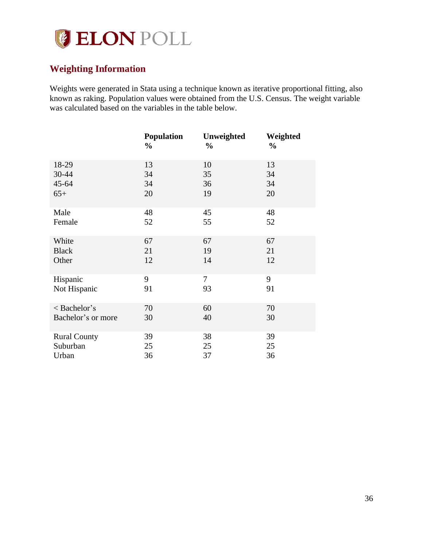

# <span id="page-35-0"></span>**Weighting Information**

Weights were generated in Stata using a technique known as iterative proportional fitting, also known as raking. Population values were obtained from the U.S. Census. The weight variable was calculated based on the variables in the table below.

|                     | <b>Population</b><br>$\frac{0}{0}$ | Unweighted<br>$\frac{0}{0}$ | Weighted<br>$\frac{0}{0}$ |
|---------------------|------------------------------------|-----------------------------|---------------------------|
| 18-29               | 13                                 | 10                          | 13                        |
| 30-44               | 34                                 | 35                          | 34                        |
| $45 - 64$           | 34                                 | 36                          | 34                        |
| $65+$               | 20                                 | 19                          | 20                        |
| Male                | 48                                 | 45                          | 48                        |
| Female              | 52                                 | 55                          | 52                        |
| White               | 67                                 | 67                          | 67                        |
| <b>Black</b>        | 21                                 | 19                          | 21                        |
| Other               | 12                                 | 14                          | 12                        |
| Hispanic            | 9                                  | 7                           | 9                         |
| Not Hispanic        | 91                                 | 93                          | 91                        |
| < Bachelor's        | 70                                 | 60                          | 70                        |
| Bachelor's or more  | 30                                 | 40                          | 30                        |
| <b>Rural County</b> | 39                                 | 38                          | 39                        |
| Suburban            | 25                                 | 25                          | 25                        |
| Urban               | 36                                 | 37                          | 36                        |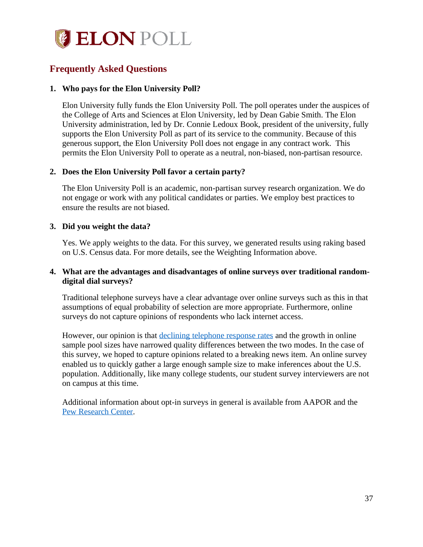

# <span id="page-36-0"></span>**Frequently Asked Questions**

#### **1. Who pays for the Elon University Poll?**

Elon University fully funds the Elon University Poll. The poll operates under the auspices of the College of Arts and Sciences at Elon University, led by Dean Gabie Smith. The Elon University administration, led by Dr. Connie Ledoux Book, president of the university, fully supports the Elon University Poll as part of its service to the community. Because of this generous support, the Elon University Poll does not engage in any contract work. This permits the Elon University Poll to operate as a neutral, non-biased, non-partisan resource.

#### **2. Does the Elon University Poll favor a certain party?**

The Elon University Poll is an academic, non-partisan survey research organization. We do not engage or work with any political candidates or parties. We employ best practices to ensure the results are not biased.

#### **3. Did you weight the data?**

Yes. We apply weights to the data. For this survey, we generated results using raking based on U.S. Census data. For more details, see the Weighting Information above.

#### **4. What are the advantages and disadvantages of online surveys over traditional randomdigital dial surveys?**

Traditional telephone surveys have a clear advantage over online surveys such as this in that assumptions of equal probability of selection are more appropriate. Furthermore, online surveys do not capture opinions of respondents who lack internet access.

However, our opinion is that [declining telephone response rates](http://www.pewresearch.org/fact-tank/2019/02/27/response-rates-in-telephone-surveys-have-resumed-their-decline/) and the growth in online sample pool sizes have narrowed quality differences between the two modes. In the case of this survey, we hoped to capture opinions related to a breaking news item. An online survey enabled us to quickly gather a large enough sample size to make inferences about the U.S. population. Additionally, like many college students, our student survey interviewers are not on campus at this time.

Additional information about opt-in surveys in general is available from AAPOR and the [Pew Research Center.](http://www.pewresearch.org/fact-tank/2018/08/06/what-are-nonprobability-surveys/)